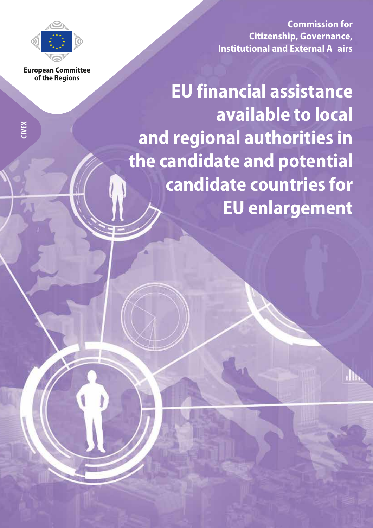

**European Committee** of the Regions

**Commission for Citizenship, Governance, Institutional and External A airs**

**EU financial assistance available to local and regional authorities in the candidate and potential candidate countries for EU enlargement**

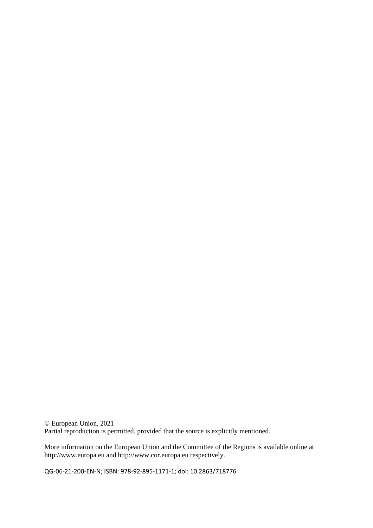© European Union, 2021 Partial reproduction is permitted, provided that the source is explicitly mentioned.

More information on the European Union and the Committee of the Regions is available online at http://www.europa.eu and http://www.cor.europa.eu respectively.

QG-06-21-200-EN-N; ISBN: 978-92-895-1171-1; doi: 10.2863/718776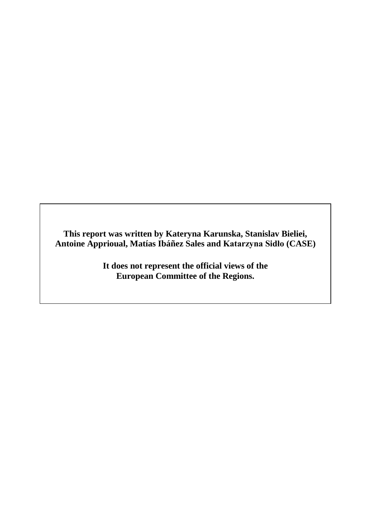**This report was written by Kateryna Karunska, Stanislav Bieliei, Antoine Apprioual, Matías Ibáñez Sales and Katarzyna Sidło (CASE)**

> **It does not represent the official views of the European Committee of the Regions.**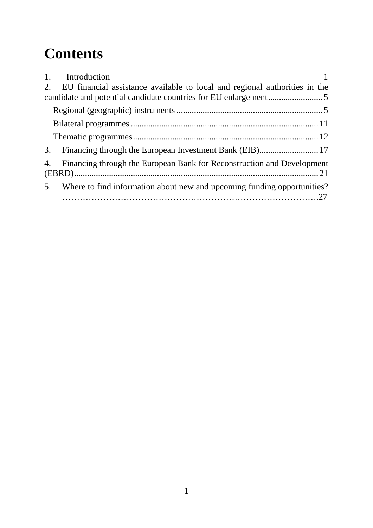# **Contents**

| 1. Introduction                                                               |  |
|-------------------------------------------------------------------------------|--|
| 2. EU financial assistance available to local and regional authorities in the |  |
|                                                                               |  |
|                                                                               |  |
|                                                                               |  |
|                                                                               |  |
| 3.                                                                            |  |
| 4. Financing through the European Bank for Reconstruction and Development     |  |
| 5. Where to find information about new and upcoming funding opportunities?    |  |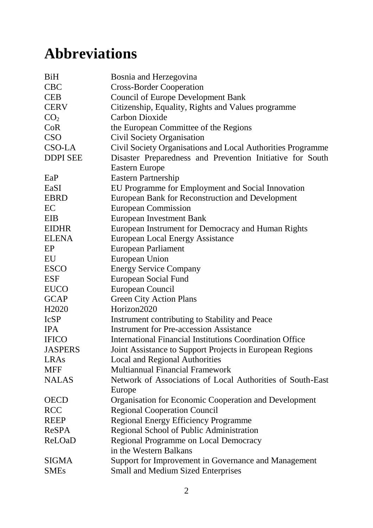# **Abbreviations**

| <b>BiH</b>         | Bosnia and Herzegovina                                      |
|--------------------|-------------------------------------------------------------|
| <b>CBC</b>         | <b>Cross-Border Cooperation</b>                             |
| <b>CEB</b>         | <b>Council of Europe Development Bank</b>                   |
| <b>CERV</b>        | Citizenship, Equality, Rights and Values programme          |
| CO <sub>2</sub>    | <b>Carbon Dioxide</b>                                       |
| CoR                | the European Committee of the Regions                       |
| <b>CSO</b>         | Civil Society Organisation                                  |
| CSO-LA             | Civil Society Organisations and Local Authorities Programme |
| <b>DDPI SEE</b>    | Disaster Preparedness and Prevention Initiative for South   |
|                    | Eastern Europe                                              |
| EaP                | <b>Eastern Partnership</b>                                  |
| EaSI               | EU Programme for Employment and Social Innovation           |
| <b>EBRD</b>        | European Bank for Reconstruction and Development            |
| EC                 | <b>European Commission</b>                                  |
| EIB                | <b>European Investment Bank</b>                             |
| <b>EIDHR</b>       | European Instrument for Democracy and Human Rights          |
| <b>ELENA</b>       | <b>European Local Energy Assistance</b>                     |
| EP                 | European Parliament                                         |
| EU                 | European Union                                              |
| <b>ESCO</b>        | <b>Energy Service Company</b>                               |
| <b>ESF</b>         | <b>European Social Fund</b>                                 |
| <b>EUCO</b>        | European Council                                            |
| <b>GCAP</b>        | <b>Green City Action Plans</b>                              |
| H <sub>2</sub> 020 | Horizon2020                                                 |
| <b>IcSP</b>        | Instrument contributing to Stability and Peace              |
| <b>IPA</b>         | <b>Instrument for Pre-accession Assistance</b>              |
| <b>IFICO</b>       | International Financial Institutions Coordination Office    |
| <b>JASPERS</b>     | Joint Assistance to Support Projects in European Regions    |
| LRAs               | <b>Local and Regional Authorities</b>                       |
| <b>MFF</b>         | <b>Multiannual Financial Framework</b>                      |
| <b>NALAS</b>       | Network of Associations of Local Authorities of South-East  |
|                    | Europe                                                      |
| <b>OECD</b>        | Organisation for Economic Cooperation and Development       |
| <b>RCC</b>         | <b>Regional Cooperation Council</b>                         |
| <b>REEP</b>        | <b>Regional Energy Efficiency Programme</b>                 |
| <b>ReSPA</b>       | Regional School of Public Administration                    |
| ReLOaD             | Regional Programme on Local Democracy                       |
|                    | in the Western Balkans                                      |
| <b>SIGMA</b>       | Support for Improvement in Governance and Management        |
| <b>SMEs</b>        | <b>Small and Medium Sized Enterprises</b>                   |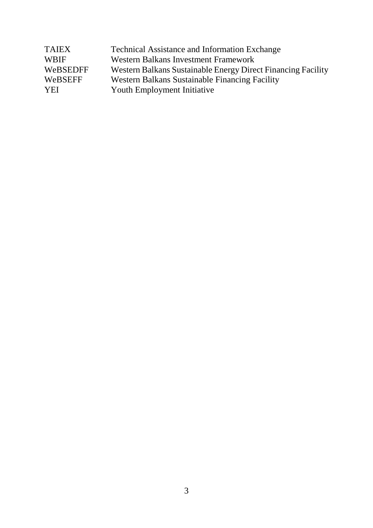| <b>TAIEX</b> | <b>Technical Assistance and Information Exchange</b>         |
|--------------|--------------------------------------------------------------|
| <b>WBIF</b>  | Western Balkans Investment Framework                         |
| WeBSEDFF     | Western Balkans Sustainable Energy Direct Financing Facility |
| WeBSEFF      | Western Balkans Sustainable Financing Facility               |
| <b>YEI</b>   | <b>Youth Employment Initiative</b>                           |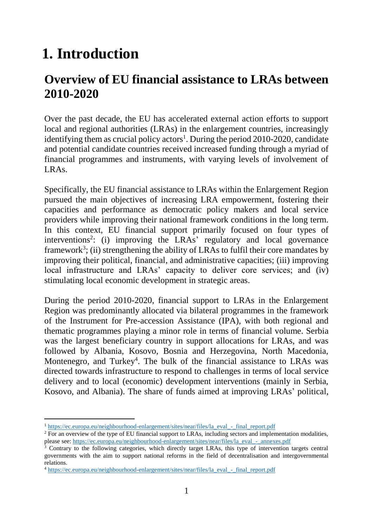# <span id="page-7-0"></span>**1. Introduction**

## **Overview of EU financial assistance to LRAs between 2010-2020**

Over the past decade, the EU has accelerated external action efforts to support local and regional authorities (LRAs) in the enlargement countries, increasingly identifying them as crucial policy actors<sup>1</sup>. During the period 2010-2020, candidate and potential candidate countries received increased funding through a myriad of financial programmes and instruments, with varying levels of involvement of LRAs.

Specifically, the EU financial assistance to LRAs within the Enlargement Region pursued the main objectives of increasing LRA empowerment, fostering their capacities and performance as democratic policy makers and local service providers while improving their national framework conditions in the long term. In this context, EU financial support primarily focused on four types of interventions<sup>2</sup>: (i) improving the LRAs' regulatory and local governance framework<sup>3</sup>; (ii) strengthening the ability of LRAs to fulfil their core mandates by improving their political, financial, and administrative capacities; (iii) improving local infrastructure and LRAs' capacity to deliver core services; and (iv) stimulating local economic development in strategic areas.

During the period 2010-2020, financial support to LRAs in the Enlargement Region was predominantly allocated via bilateral programmes in the framework of the Instrument for Pre-accession Assistance (IPA), with both regional and thematic programmes playing a minor role in terms of financial volume. Serbia was the largest beneficiary country in support allocations for LRAs, and was followed by Albania, Kosovo, Bosnia and Herzegovina, North Macedonia, Montenegro, and Turkey<sup>4</sup>. The bulk of the financial assistance to LRAs was directed towards infrastructure to respond to challenges in terms of local service delivery and to local (economic) development interventions (mainly in Serbia, Kosovo, and Albania). The share of funds aimed at improving LRAs' political,

-

<sup>&</sup>lt;sup>1</sup> [https://ec.europa.eu/neighbourhood-enlargement/sites/near/files/la\\_eval\\_-\\_final\\_report.pdf](https://ec.europa.eu/neighbourhood-enlargement/sites/near/files/la_eval_-_final_report.pdf)

<sup>&</sup>lt;sup>2</sup> For an overview of the type of EU financial support to LRAs, including sectors and implementation modalities, please see: [https://ec.europa.eu/neighbourhood-enlargement/sites/near/files/la\\_eval\\_-\\_annexes.pdf](https://ec.europa.eu/neighbourhood-enlargement/sites/near/files/la_eval_-_annexes.pdf)

<sup>&</sup>lt;sup>3</sup> Contrary to the following categories, which directly target LRAs, this type of intervention targets central governments with the aim to support national reforms in the field of decentralisation and intergovernmental relations.

<sup>4</sup> [https://ec.europa.eu/neighbourhood-enlargement/sites/near/files/la\\_eval\\_-\\_final\\_report.pdf](https://ec.europa.eu/neighbourhood-enlargement/sites/near/files/la_eval_-_final_report.pdf)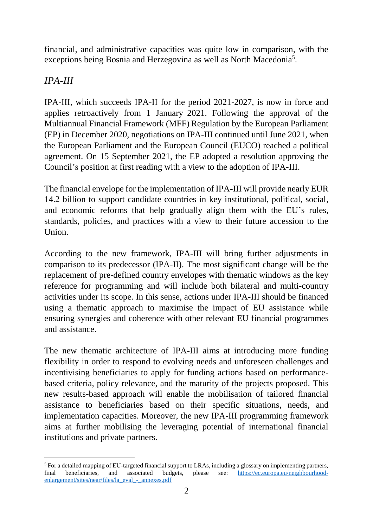financial, and administrative capacities was quite low in comparison, with the exceptions being Bosnia and Herzegovina as well as North Macedonia<sup>5</sup>.

### *IPA-III*

IPA-III, which succeeds IPA-II for the period 2021-2027, is now in force and applies retroactively from 1 January 2021. Following the approval of the Multiannual Financial Framework (MFF) Regulation by the European Parliament (EP) in December 2020, negotiations on IPA-III continued until June 2021, when the European Parliament and the European Council (EUCO) reached a political agreement. On 15 September 2021, the EP adopted a resolution approving the Council's position at first reading with a view to the adoption of IPA-III.

The financial envelope for the implementation of IPA-III will provide nearly EUR 14.2 billion to support candidate countries in key institutional, political, social, and economic reforms that help gradually align them with the EU's rules, standards, policies, and practices with a view to their future accession to the Union.

According to the new framework, IPA-III will bring further adjustments in comparison to its predecessor (IPA-II). The most significant change will be the replacement of pre-defined country envelopes with thematic windows as the key reference for programming and will include both bilateral and multi-country activities under its scope. In this sense, actions under IPA-III should be financed using a thematic approach to maximise the impact of EU assistance while ensuring synergies and coherence with other relevant EU financial programmes and assistance.

The new thematic architecture of IPA-III aims at introducing more funding flexibility in order to respond to evolving needs and unforeseen challenges and incentivising beneficiaries to apply for funding actions based on performancebased criteria, policy relevance, and the maturity of the projects proposed. This new results-based approach will enable the mobilisation of tailored financial assistance to beneficiaries based on their specific situations, needs, and implementation capacities. Moreover, the new IPA-III programming framework aims at further mobilising the leveraging potential of international financial institutions and private partners.

<sup>-</sup><sup>5</sup> For a detailed mapping of EU-targeted financial support to LRAs, including a glossary on implementing partners, final beneficiaries, and associated budgets, please see: [https://ec.europa.eu/neighbourhood](https://ec.europa.eu/neighbourhood-enlargement/sites/near/files/la_eval_-_annexes.pdf)[enlargement/sites/near/files/la\\_eval\\_-\\_annexes.pdf](https://ec.europa.eu/neighbourhood-enlargement/sites/near/files/la_eval_-_annexes.pdf)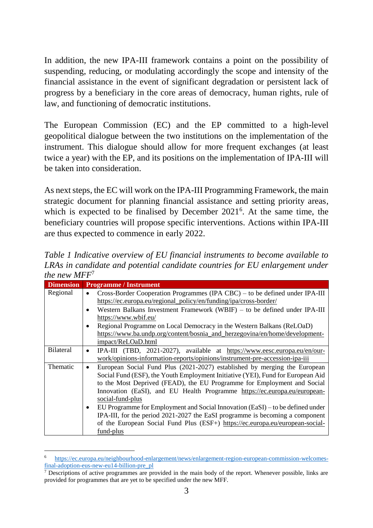In addition, the new IPA-III framework contains a point on the possibility of suspending, reducing, or modulating accordingly the scope and intensity of the financial assistance in the event of significant degradation or persistent lack of progress by a beneficiary in the core areas of democracy, human rights, rule of law, and functioning of democratic institutions.

The European Commission (EC) and the EP committed to a high-level geopolitical dialogue between the two institutions on the implementation of the instrument. This dialogue should allow for more frequent exchanges (at least twice a year) with the EP, and its positions on the implementation of IPA-III will be taken into consideration.

As next steps, the EC will work on the IPA-III Programming Framework, the main strategic document for planning financial assistance and setting priority areas, which is expected to be finalised by December 2021<sup>6</sup>. At the same time, the beneficiary countries will propose specific interventions. Actions within IPA-III are thus expected to commence in early 2022.

*Table 1 Indicative overview of EU financial instruments to become available to LRAs in candidate and potential candidate countries for EU enlargement under the new MFF*<sup>7</sup>

| <b>Dimension</b> | <b>Programme / Instrument</b>                                                                                                                                                                                                                                                                                                                                                                                                                                                                                                                                                                                                      |  |  |
|------------------|------------------------------------------------------------------------------------------------------------------------------------------------------------------------------------------------------------------------------------------------------------------------------------------------------------------------------------------------------------------------------------------------------------------------------------------------------------------------------------------------------------------------------------------------------------------------------------------------------------------------------------|--|--|
| Regional         | Cross-Border Cooperation Programmes (IPA CBC) – to be defined under IPA-III<br>$\bullet$<br>https://ec.europa.eu/regional_policy/en/funding/ipa/cross-border/<br>Western Balkans Investment Framework (WBIF) $-$ to be defined under IPA-III<br>$\bullet$                                                                                                                                                                                                                                                                                                                                                                          |  |  |
|                  | https://www.wbif.eu/                                                                                                                                                                                                                                                                                                                                                                                                                                                                                                                                                                                                               |  |  |
|                  | Regional Programme on Local Democracy in the Western Balkans (ReLOaD)<br>$\bullet$<br>https://www.ba.undp.org/content/bosnia_and_herzegovina/en/home/development-                                                                                                                                                                                                                                                                                                                                                                                                                                                                  |  |  |
|                  | impact/ReLOaD.html                                                                                                                                                                                                                                                                                                                                                                                                                                                                                                                                                                                                                 |  |  |
| <b>Bilateral</b> | IPA-III (TBD, 2021-2027), available at https://www.eesc.europa.eu/en/our-<br>$\bullet$<br>work/opinions-information-reports/opinions/instrument-pre-accession-ipa-iii                                                                                                                                                                                                                                                                                                                                                                                                                                                              |  |  |
| Thematic         | European Social Fund Plus (2021-2027) established by merging the European<br>$\bullet$<br>Social Fund (ESF), the Youth Employment Initiative (YEI), Fund for European Aid<br>to the Most Deprived (FEAD), the EU Programme for Employment and Social<br>Innovation (EaSI), and EU Health Programme https://ec.europa.eu/european-<br>social-fund-plus<br>EU Programme for Employment and Social Innovation (EaSI) – to be defined under<br>$\bullet$<br>IPA-III, for the period 2021-2027 the EaSI programme is becoming a component<br>of the European Social Fund Plus (ESF+) https://ec.europa.eu/european-social-<br>fund-plus |  |  |

<sup>6</sup> [https://ec.europa.eu/neighbourhood-enlargement/news/enlargement-region-european-commission-welcomes](https://ec.europa.eu/neighbourhood-enlargement/news/enlargement-region-european-commission-welcomes-final-adoption-eus-new-eu14-billion-pre_pl)[final-adoption-eus-new-eu14-billion-pre\\_pl](https://ec.europa.eu/neighbourhood-enlargement/news/enlargement-region-european-commission-welcomes-final-adoption-eus-new-eu14-billion-pre_pl)

-

 $7$  Descriptions of active programmes are provided in the main body of the report. Whenever possible, links are provided for programmes that are yet to be specified under the new MFF.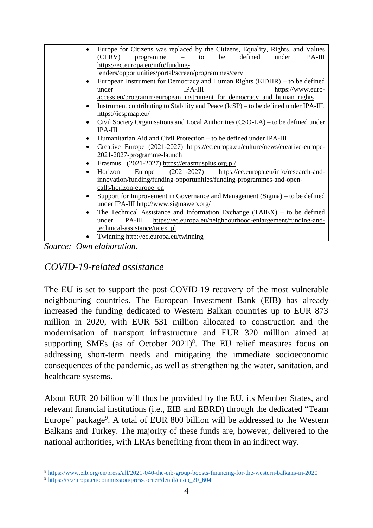|           | Europe for Citizens was replaced by the Citizens, Equality, Rights, and Values       |
|-----------|--------------------------------------------------------------------------------------|
|           | (CERV)<br>defined<br>under<br><b>IPA-III</b><br>programme<br>be<br>to                |
|           | https://ec.europa.eu/info/funding-                                                   |
|           | tenders/opportunities/portal/screen/programmes/cerv                                  |
| ٠         | European Instrument for Democracy and Human Rights $(EIDHR)$ – to be defined         |
|           | under<br>$IPA-III$<br>https://www.euro-                                              |
|           | access.eu/programm/european instrument for democracy and human rights                |
| $\bullet$ | Instrument contributing to Stability and Peace (IcSP) – to be defined under IPA-III, |
|           | https://icspmap.eu/                                                                  |
| ٠         | Civil Society Organisations and Local Authorities (CSO-LA) – to be defined under     |
|           | <b>IPA-III</b>                                                                       |
| ٠         | Humanitarian Aid and Civil Protection – to be defined under IPA-III                  |
| ٠         | Creative Europe (2021-2027) https://ec.europa.eu/culture/news/creative-europe-       |
|           | 2021-2027-programme-launch                                                           |
| ٠         | Erasmus+ (2021-2027) https://erasmusplus.org.pl/                                     |
| $\bullet$ | Horizon<br>Europe (2021-2027)<br>https://ec.europa.eu/info/research-and-             |
|           | innovation/funding/funding-opportunities/funding-programmes-and-open-                |
|           | calls/horizon-europe_en                                                              |
| $\bullet$ | Support for Improvement in Governance and Management (Sigma) – to be defined         |
|           | under IPA-III http://www.sigmaweb.org/                                               |
| $\bullet$ | The Technical Assistance and Information Exchange $(TAIEX)$ – to be defined          |
|           | IPA-III https://ec.europa.eu/neighbourhood-enlargement/funding-and-<br>under         |
|           | technical-assistance/taiex_pl                                                        |
|           | Twinning http://ec.europa.eu/twinning                                                |

*Source: Own elaboration.*

#### *COVID-19-related assistance*

The EU is set to support the post-COVID-19 recovery of the most vulnerable neighbouring countries. The European Investment Bank (EIB) has already increased the funding dedicated to Western Balkan countries up to EUR 873 million in 2020, with EUR 531 million allocated to construction and the modernisation of transport infrastructure and EUR 320 million aimed at supporting SMEs (as of October  $2021$ <sup>8</sup>. The EU relief measures focus on addressing short-term needs and mitigating the immediate socioeconomic consequences of the pandemic, as well as strengthening the water, sanitation, and healthcare systems.

About EUR 20 billion will thus be provided by the EU, its Member States, and relevant financial institutions (i.e., EIB and EBRD) through the dedicated "Team Europe" package<sup>9</sup>. A total of EUR 800 billion will be addressed to the Western Balkans and Turkey. The majority of these funds are, however, delivered to the national authorities, with LRAs benefiting from them in an indirect way.

 $\overline{a}$ <sup>8</sup> <https://www.eib.org/en/press/all/2021-040-the-eib-group-boosts-financing-for-the-western-balkans-in-2020>

<sup>9</sup> [https://ec.europa.eu/commission/presscorner/detail/en/ip\\_20\\_604](https://ec.europa.eu/commission/presscorner/detail/en/ip_20_604)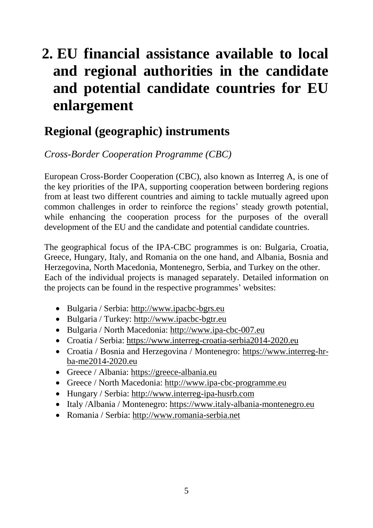# <span id="page-11-0"></span>**2. EU financial assistance available to local and regional authorities in the candidate and potential candidate countries for EU enlargement**

## <span id="page-11-1"></span>**Regional (geographic) instruments**

*Cross-Border Cooperation Programme (CBC)*

European Cross-Border Cooperation (CBC), also known as Interreg A, is one of the key priorities of the IPA, supporting cooperation between bordering regions from at least two different countries and aiming to tackle mutually agreed upon common challenges in order to reinforce the regions' steady growth potential, while enhancing the cooperation process for the purposes of the overall development of the EU and the candidate and potential candidate countries.

The geographical focus of the IPA-CBC programmes is on: Bulgaria, Croatia, Greece, Hungary, Italy, and Romania on the one hand, and Albania, Bosnia and Herzegovina, North Macedonia, Montenegro, Serbia, and Turkey on the other. Each of the individual projects is managed separately. Detailed information on the projects can be found in the respective programmes' websites:

- Bulgaria / Serbia: [http://www.ipacbc-bgrs.eu](http://www.ipacbc-bgrs.eu/)
- Bulgaria / Turkey: [http://www.ipacbc-bgtr.eu](http://www.ipacbc-bgtr.eu/)
- Bulgaria / North Macedonia: [http://www.ipa-cbc-007.eu](http://www.ipa-cbc-007.eu/)
- Croatia / Serbia: [https://www.interreg-croatia-serbia2014-2020.eu](https://www.interreg-croatia-serbia2014-2020.eu/)
- Croatia / Bosnia and Herzegovina / Montenegro: [https://www.interreg-hr](https://www.interreg-hr-ba-me2014-2020.eu/)[ba-me2014-2020.eu](https://www.interreg-hr-ba-me2014-2020.eu/)
- Greece / Albania: [https://greece-albania.eu](https://greece-albania.eu/)
- Greece / North Macedonia: [http://www.ipa-cbc-programme.eu](http://www.ipa-cbc-programme.eu/)
- Hungary / Serbia: [http://www.interreg-ipa-husrb.com](http://www.interreg-ipa-husrb.com/)
- Italy /Albania / Montenegro: [https://www.italy-albania-montenegro.eu](https://www.italy-albania-montenegro.eu/)
- Romania / Serbia: [http://www.romania-serbia.net](http://www.romania-serbia.net/)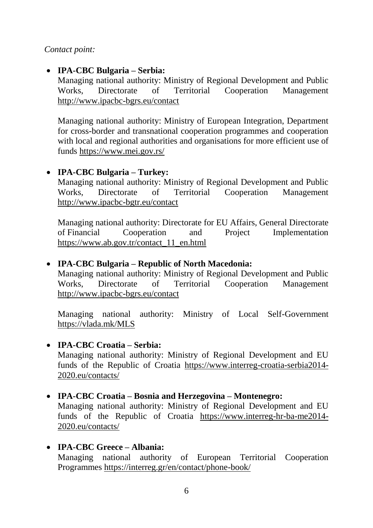*Contact point:*

#### **IPA-CBC Bulgaria – Serbia:**

Managing national authority: Ministry of Regional Development and Public Works, Directorate of Territorial Cooperation Management <http://www.ipacbc-bgrs.eu/contact>

Managing national authority: Ministry of European Integration, Department for cross-border and transnational cooperation programmes and cooperation with local and regional authorities and organisations for more efficient use of funds <https://www.mei.gov.rs/>

#### **IPA-CBC Bulgaria – Turkey:**

Managing national authority: Ministry of Regional Development and Public Works, Directorate of Territorial Cooperation Management <http://www.ipacbc-bgtr.eu/contact>

Managing national authority: Directorate for EU Affairs, General Directorate of Financial Cooperation and Project Implementation [https://www.ab.gov.tr/contact\\_11\\_en.html](https://www.ab.gov.tr/contact_11_en.html)

#### **IPA-CBC Bulgaria – Republic of North Macedonia:**

Managing national authority: Ministry of Regional Development and Public Works, Directorate of Territorial Cooperation Management <http://www.ipacbc-bgrs.eu/contact>

Managing national authority: Ministry of Local Self-Government <https://vlada.mk/MLS>

#### **IPA-CBC Croatia – Serbia:**

Managing national authority: Ministry of Regional Development and EU funds of the Republic of Croatia [https://www.interreg-croatia-serbia2014-](https://www.interreg-croatia-serbia2014-2020.eu/contacts/) [2020.eu/contacts/](https://www.interreg-croatia-serbia2014-2020.eu/contacts/)

#### **IPA-CBC Croatia – Bosnia and Herzegovina – Montenegro:**

Managing national authority: Ministry of Regional Development and EU funds of the Republic of Croatia [https://www.interreg-hr-ba-me2014-](https://www.interreg-hr-ba-me2014-2020.eu/contacts/) [2020.eu/contacts/](https://www.interreg-hr-ba-me2014-2020.eu/contacts/)

#### **IPA-CBC Greece – Albania:** Managing national authority of European Territorial Cooperation Programmes <https://interreg.gr/en/contact/phone-book/>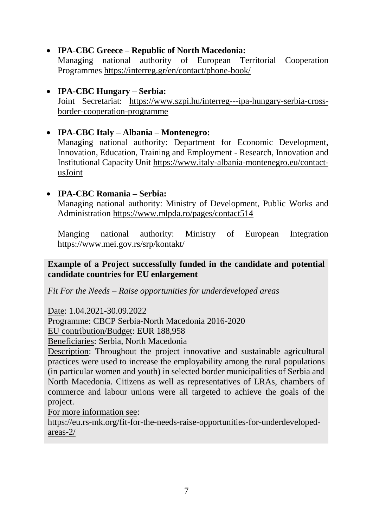#### **IPA-CBC Greece – Republic of North Macedonia:**

Managing national authority of European Territorial Cooperation Programmes <https://interreg.gr/en/contact/phone-book/>

#### **IPA-CBC Hungary – Serbia:** Joint Secretariat: [https://www.szpi.hu/interreg---ipa-hungary-serbia-cross](https://www.szpi.hu/interreg---ipa-hungary-serbia-cross-border-cooperation-programme)[border-cooperation-programme](https://www.szpi.hu/interreg---ipa-hungary-serbia-cross-border-cooperation-programme)

#### **IPA-CBC Italy – Albania – Montenegro:** Managing national authority: Department for Economic Development, Innovation, Education, Training and Employment - Research, Innovation and Institutional Capacity Unit [https://www.italy-albania-montenegro.eu/contact](https://www.italy-albania-montenegro.eu/contact-usJoint)[usJoint](https://www.italy-albania-montenegro.eu/contact-usJoint)

#### **IPA-CBC Romania – Serbia:**

Managing national authority: Ministry of Development, Public Works and Administration<https://www.mlpda.ro/pages/contact514>

Manging national authority: Ministry of European Integration <https://www.mei.gov.rs/srp/kontakt/>

#### **Example of a Project successfully funded in the candidate and potential candidate countries for EU enlargement**

*Fit For the Needs – Raise opportunities for underdeveloped areas*

Date: 1.04.2021-30.09.2022

Programme: CBCP Serbia-North Macedonia 2016-2020

EU contribution/Budget: EUR 188,958

Beneficiaries: Serbia, North Macedonia

Description: Throughout the project innovative and sustainable agricultural practices were used to increase the employability among the rural populations (in particular women and youth) in selected border municipalities of Serbia and North Macedonia. Citizens as well as representatives of LRAs, chambers of commerce and labour unions were all targeted to achieve the goals of the project.

For more information see:

[https://eu.rs-mk.org/fit-for-the-needs-raise-opportunities-for-underdeveloped](https://eu.rs-mk.org/fit-for-the-needs-raise-opportunities-for-underdeveloped-areas-2/)[areas-2/](https://eu.rs-mk.org/fit-for-the-needs-raise-opportunities-for-underdeveloped-areas-2/)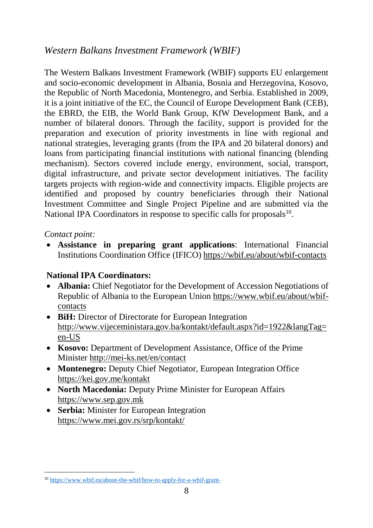## *Western Balkans Investment Framework (WBIF)*

The Western Balkans Investment Framework (WBIF) supports EU enlargement and socio-economic development in Albania, Bosnia and Herzegovina, Kosovo, the Republic of North Macedonia, Montenegro, and Serbia. Established in 2009, it is a joint initiative of the EC, the Council of Europe Development Bank (CEB), the EBRD, the EIB, the World Bank Group, KfW Development Bank, and a number of bilateral donors. Through the facility, support is provided for the preparation and execution of priority investments in line with regional and national strategies, leveraging grants (from the IPA and 20 bilateral donors) and loans from participating financial institutions with national financing (blending mechanism). Sectors covered include energy, environment, social, transport, digital infrastructure, and private sector development initiatives. The facility targets projects with region-wide and connectivity impacts. Eligible projects are identified and proposed by country beneficiaries through their National Investment Committee and Single Project Pipeline and are submitted via the National IPA Coordinators in response to specific calls for proposals<sup>10</sup>.

#### *Contact point:*

 **Assistance in preparing grant applications**: International Financial Institutions Coordination Office (IFICO) <https://wbif.eu/about/wbif-contacts>

#### **National IPA Coordinators:**

- **Albania:** Chief Negotiator for the Development of Accession Negotiations of Republic of Albania to the European Union [https://www.wbif.eu/about/wbif](https://www.wbif.eu/about/wbif-contacts)[contacts](https://www.wbif.eu/about/wbif-contacts)
- BiH: Director of Directorate for European Integration [http://www.vijeceministara.gov.ba/kontakt/default.aspx?id=1922&langTag=](http://www.vijeceministara.gov.ba/kontakt/default.aspx?id=1922&langTag=en-US) [en-US](http://www.vijeceministara.gov.ba/kontakt/default.aspx?id=1922&langTag=en-US)
- **Kosovo:** Department of Development Assistance, Office of the Prime Minister<http://mei-ks.net/en/contact>
- **Montenegro:** Deputy Chief Negotiator, European Integration Office <https://kei.gov.me/kontakt>
- **North Macedonia:** Deputy Prime Minister for European Affairs [https://www.sep.gov.mk](https://www.sep.gov.mk/)
- **Serbia:** Minister for European Integration https://www.mei.gov.rs/srp/kontakt/

<sup>-</sup><sup>10</sup> <https://www.wbif.eu/about-the-wbif/how-to-apply-for-a-wbif-grant->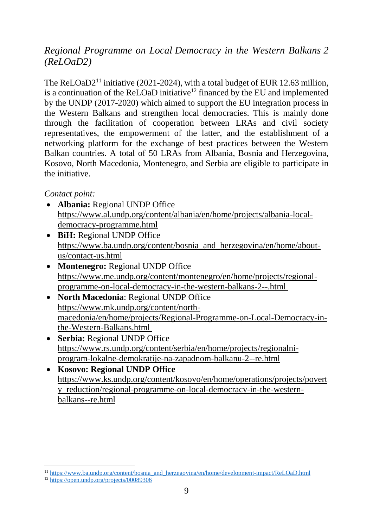### *Regional Programme on Local Democracy in the Western Balkans 2 (ReLOaD2)*

The ReLOaD2<sup>11</sup> initiative (2021-2024), with a total budget of EUR 12.63 million, is a continuation of the ReLOaD initiative<sup>12</sup> financed by the EU and implemented by the UNDP (2017-2020) which aimed to support the EU integration process in the Western Balkans and strengthen local democracies. This is mainly done through the facilitation of cooperation between LRAs and civil society representatives, the empowerment of the latter, and the establishment of a networking platform for the exchange of best practices between the Western Balkan countries. A total of 50 LRAs from Albania, Bosnia and Herzegovina, Kosovo, North Macedonia, Montenegro, and Serbia are eligible to participate in the initiative.

#### *Contact point:*

- **Albania:** Regional UNDP Office [https://www.al.undp.org/content/albania/en/home/projects/albania-local](https://www.al.undp.org/content/albania/en/home/projects/albania-local-democracy-programme.html)[democracy-programme.html](https://www.al.undp.org/content/albania/en/home/projects/albania-local-democracy-programme.html)
- **BiH:** Regional UNDP Office [https://www.ba.undp.org/content/bosnia\\_and\\_herzegovina/en/home/about](https://www.ba.undp.org/content/bosnia_and_herzegovina/en/home/about-us/contact-us.html)[us/contact-us.html](https://www.ba.undp.org/content/bosnia_and_herzegovina/en/home/about-us/contact-us.html)
- **Montenegro:** Regional UNDP Office [https://www.me.undp.org/content/montenegro/en/home/projects/regional](https://www.me.undp.org/content/montenegro/en/home/projects/regional-programme-on-local-democracy-in-the-western-balkans-2--.html)[programme-on-local-democracy-in-the-western-balkans-2--.html](https://www.me.undp.org/content/montenegro/en/home/projects/regional-programme-on-local-democracy-in-the-western-balkans-2--.html)
- **North Macedonia**: Regional UNDP Office [https://www.mk.undp.org/content/north](https://www.mk.undp.org/content/north-macedonia/en/home/projects/Regional-Programme-on-Local-Democracy-in-the-Western-Balkans.html)[macedonia/en/home/projects/Regional-Programme-on-Local-Democracy-in](https://www.mk.undp.org/content/north-macedonia/en/home/projects/Regional-Programme-on-Local-Democracy-in-the-Western-Balkans.html)[the-Western-Balkans.html](https://www.mk.undp.org/content/north-macedonia/en/home/projects/Regional-Programme-on-Local-Democracy-in-the-Western-Balkans.html)
- **Serbia:** Regional UNDP Office [https://www.rs.undp.org/content/serbia/en/home/projects/regionalni](https://www.rs.undp.org/content/serbia/en/home/projects/regionalni-program-lokalne-demokratije-na-zapadnom-balkanu-2--re.html)[program-lokalne-demokratije-na-zapadnom-balkanu-2--re.html](https://www.rs.undp.org/content/serbia/en/home/projects/regionalni-program-lokalne-demokratije-na-zapadnom-balkanu-2--re.html)
- **Kosovo: Regional UNDP Office**  [https://www.ks.undp.org/content/kosovo/en/home/operations/projects/povert](https://www.ks.undp.org/content/kosovo/en/home/operations/projects/poverty_reduction/regional-programme-on-local-democracy-in-the-western-balkans--re.html) [y\\_reduction/regional-programme-on-local-democracy-in-the-western](https://www.ks.undp.org/content/kosovo/en/home/operations/projects/poverty_reduction/regional-programme-on-local-democracy-in-the-western-balkans--re.html)[balkans--re.html](https://www.ks.undp.org/content/kosovo/en/home/operations/projects/poverty_reduction/regional-programme-on-local-democracy-in-the-western-balkans--re.html)

 $\overline{a}$ 

<sup>&</sup>lt;sup>11</sup> [https://www.ba.undp.org/content/bosnia\\_and\\_herzegovina/en/home/development-impact/ReLOaD.html](https://www.ba.undp.org/content/bosnia_and_herzegovina/en/home/development-impact/ReLOaD.html)

<sup>&</sup>lt;sup>12</sup> <https://open.undp.org/projects/00089306>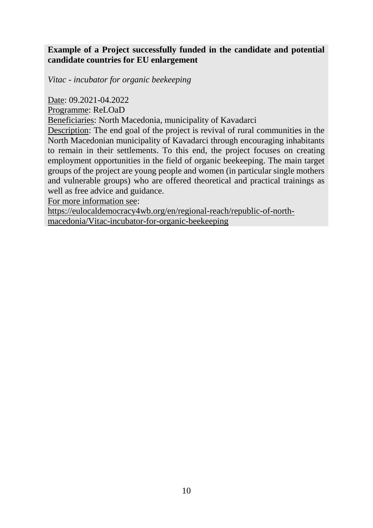#### **Example of a Project successfully funded in the candidate and potential candidate countries for EU enlargement**

*Vitac - incubator for organic beekeeping*

Date: 09.2021-04.2022

Programme: ReLOaD

Beneficiaries: North Macedonia, municipality of Kavadarci

Description: The end goal of the project is revival of rural communities in the North Macedonian municipality of Kavadarci through encouraging inhabitants to remain in their settlements. To this end, the project focuses on creating employment opportunities in the field of organic beekeeping. The main target groups of the project are young people and women (in particular single mothers and vulnerable groups) who are offered theoretical and practical trainings as well as free advice and guidance.

For more information see:

<span id="page-16-0"></span>https://eulocaldemocracy4wb.org/en/regional-reach/republic-of-northmacedonia/Vitac-incubator-for-organic-beekeeping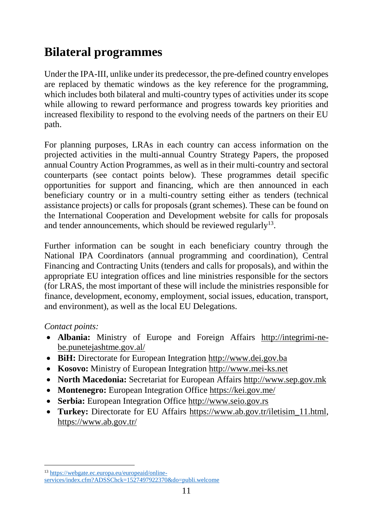## **Bilateral programmes**

Under the IPA-III, unlike under its predecessor, the pre-defined country envelopes are replaced by thematic windows as the key reference for the programming, which includes both bilateral and multi-country types of activities under its scope while allowing to reward performance and progress towards key priorities and increased flexibility to respond to the evolving needs of the partners on their EU path.

For planning purposes, LRAs in each country can access information on the projected activities in the multi-annual Country Strategy Papers, the proposed annual Country Action Programmes, as well as in their multi-country and sectoral counterparts (see contact points below). These programmes detail specific opportunities for support and financing, which are then announced in each beneficiary country or in a multi-country setting either as tenders (technical assistance projects) or calls for proposals (grant schemes). These can be found on the International Cooperation and Development website for calls for proposals and tender announcements, which should be reviewed regularly<sup>13</sup>.

Further information can be sought in each beneficiary country through the National IPA Coordinators (annual programming and coordination), Central Financing and Contracting Units (tenders and calls for proposals), and within the appropriate EU integration offices and line ministries responsible for the sectors (for LRAS, the most important of these will include the ministries responsible for finance, development, economy, employment, social issues, education, transport, and environment), as well as the local EU Delegations.

*Contact points:* 

 $\overline{a}$ 

- **Albania:** Ministry of Europe and Foreign Affairs [http://integrimi-ne](http://integrimi-ne-be.punetejashtme.gov.al/)[be.punetejashtme.gov.al/](http://integrimi-ne-be.punetejashtme.gov.al/)
- **BiH:** Directorate for European Integration [http://www.dei.gov.ba](http://www.dei.gov.ba/)
- **Kosovo:** Ministry of European Integration [http://www.mei-ks.net](http://www.mei-ks.net/)
- **North Macedonia:** Secretariat for European Affairs [http://www.sep.gov.mk](http://www.sep.gov.mk/)
- **Montenegro:** European Integration Office <https://kei.gov.me/>
- **Serbia:** European Integration Office [http://www.seio.gov.rs](http://www.seio.gov.rs/)
- **Turkey:** Directorate for EU Affairs [https://www.ab.gov.tr/iletisim\\_11.html,](https://www.ab.gov.tr/iletisim_11.html) <https://www.ab.gov.tr/>

<sup>13</sup> [https://webgate.ec.europa.eu/europeaid/online](https://webgate.ec.europa.eu/europeaid/online-services/index.cfm?ADSSChck=1527497922370&do=publi.welcome)[services/index.cfm?ADSSChck=1527497922370&do=publi.welcome](https://webgate.ec.europa.eu/europeaid/online-services/index.cfm?ADSSChck=1527497922370&do=publi.welcome)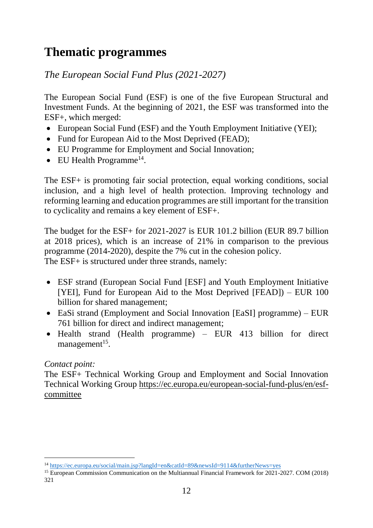## <span id="page-18-0"></span>**Thematic programmes**

## *The European Social Fund Plus (2021-2027)*

The European Social Fund (ESF) is one of the five European Structural and Investment Funds. At the beginning of 2021, the ESF was transformed into the ESF+, which merged:

- European Social Fund (ESF) and the Youth Employment Initiative (YEI);
- Fund for European Aid to the Most Deprived (FEAD);
- EU Programme for Employment and Social Innovation;
- $\bullet$  EU Health Programme<sup>14</sup>.

The ESF+ is promoting fair social protection, equal working conditions, social inclusion, and a high level of health protection. Improving technology and reforming learning and education programmes are still important for the transition to cyclicality and remains a key element of ESF+.

The budget for the ESF+ for 2021-2027 is EUR 101.2 billion (EUR 89.7 billion at 2018 prices), which is an increase of 21% in comparison to the previous programme (2014-2020), despite the 7% cut in the cohesion policy. The ESF+ is structured under three strands, namely:

- ESF strand (European Social Fund [ESF] and Youth Employment Initiative [YEI], Fund for European Aid to the Most Deprived [FEAD]) – EUR 100 billion for shared management;
- EaSi strand (Employment and Social Innovation [EaSI] programme) EUR 761 billion for direct and indirect management;
- Health strand (Health programme) EUR 413 billion for direct management<sup>15</sup>.

#### *Contact point:*

-

The ESF+ Technical Working Group and Employment and Social Innovation Technical Working Group [https://ec.europa.eu/european-social-fund-plus/en/esf](https://ec.europa.eu/european-social-fund-plus/en/esf-committee)[committee](https://ec.europa.eu/european-social-fund-plus/en/esf-committee)

<sup>14</sup> <https://ec.europa.eu/social/main.jsp?langId=en&catId=89&newsId=9114&furtherNews=yes>

<sup>15</sup> European Commission Communication on the Multiannual Financial Framework for 2021-2027. COM (2018) 321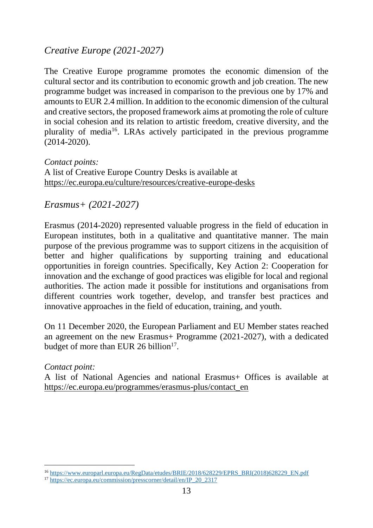## *Creative Europe (2021-2027)*

The Creative Europe programme promotes the economic dimension of the cultural sector and its contribution to economic growth and job creation. The new programme budget was increased in comparison to the previous one by 17% and amounts to EUR 2.4 million. In addition to the economic dimension of the cultural and creative sectors, the proposed framework aims at promoting the role of culture in social cohesion and its relation to artistic freedom, creative diversity, and the plurality of media<sup>16</sup>. LRAs actively participated in the previous programme (2014-2020).

*Contact points:* A list of Creative Europe Country Desks is available at <https://ec.europa.eu/culture/resources/creative-europe-desks>

*Erasmus+ (2021-2027)* 

Erasmus (2014-2020) represented valuable progress in the field of education in European institutes, both in a qualitative and quantitative manner. The main purpose of the previous programme was to support citizens in the acquisition of better and higher qualifications by supporting training and educational opportunities in foreign countries. Specifically, Key Action 2: Cooperation for innovation and the exchange of good practices was eligible for local and regional authorities. The action made it possible for institutions and organisations from different countries work together, develop, and transfer best practices and innovative approaches in the field of education, training, and youth.

On 11 December 2020, the European Parliament and EU Member states reached an agreement on the new Erasmus+ Programme (2021-2027), with a dedicated budget of more than EUR 26 billion $17$ .

*Contact point:*

 $\overline{a}$ 

A list of National Agencies and national Erasmus+ Offices is available at [https://ec.europa.eu/programmes/erasmus-plus/contact\\_en](https://ec.europa.eu/programmes/erasmus-plus/contact_en)

<sup>16</sup> [https://www.europarl.europa.eu/RegData/etudes/BRIE/2018/628229/EPRS\\_BRI\(2018\)628229\\_EN.pdf](https://www.europarl.europa.eu/RegData/etudes/BRIE/2018/628229/EPRS_BRI(2018)628229_EN.pdf)

<sup>&</sup>lt;sup>17</sup> [https://ec.europa.eu/commission/presscorner/detail/en/IP\\_20\\_2317](https://ec.europa.eu/commission/presscorner/detail/en/IP_20_2317)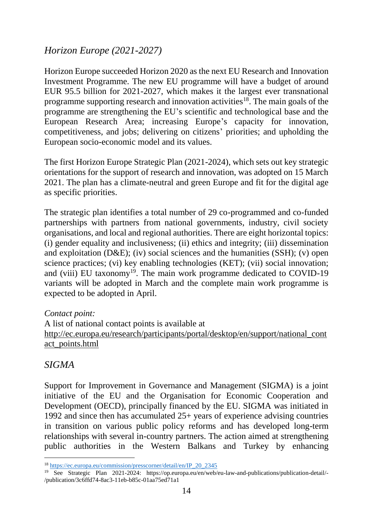### *Horizon Europe (2021-2027)*

Horizon Europe succeeded Horizon 2020 as the next EU Research and Innovation Investment Programme. The new EU programme will have a budget of around EUR 95.5 billion for 2021-2027, which makes it the largest ever transnational programme supporting research and innovation activities<sup>18</sup>. The main goals of the programme are strengthening the EU's scientific and technological base and the European Research Area; increasing Europe's capacity for innovation, competitiveness, and jobs; delivering on citizens' priorities; and upholding the European socio-economic model and its values.

The first Horizon Europe Strategic Plan (2021-2024), which sets out key strategic orientations for the support of research and innovation, was adopted on 15 March 2021. The plan has a climate-neutral and green Europe and fit for the digital age as specific priorities.

The strategic plan identifies a total number of 29 co-programmed and co-funded partnerships with partners from national governments, industry, civil society organisations, and local and regional authorities. There are eight horizontal topics: (i) gender equality and inclusiveness; (ii) ethics and integrity; (iii) dissemination and exploitation (D&E); (iv) social sciences and the humanities (SSH); (v) open science practices; (vi) key enabling technologies (KET); (vii) social innovation; and (viii) EU taxonomy<sup>19</sup>. The main work programme dedicated to COVID-19 variants will be adopted in March and the complete main work programme is expected to be adopted in April.

#### *Contact point:*

A list of national contact points is available at [http://ec.europa.eu/research/participants/portal/desktop/en/support/national\\_cont](http://ec.europa.eu/research/participants/portal/desktop/en/support/national_contact_points.html) [act\\_points.html](http://ec.europa.eu/research/participants/portal/desktop/en/support/national_contact_points.html)

#### *SIGMA*

-

Support for Improvement in Governance and Management (SIGMA) is a joint initiative of the EU and the Organisation for Economic Cooperation and Development (OECD), principally financed by the EU. SIGMA was initiated in 1992 and since then has accumulated 25+ years of experience advising countries in transition on various public policy reforms and has developed long-term relationships with several in-country partners. The action aimed at strengthening public authorities in the Western Balkans and Turkey by enhancing

<sup>18</sup> [https://ec.europa.eu/commission/presscorner/detail/en/IP\\_20\\_2345](https://ec.europa.eu/commission/presscorner/detail/en/IP_20_2345)

<sup>&</sup>lt;sup>19</sup> See Strategic Plan 2021-2024: https://op.europa.eu/en/web/eu-law-and-publications/publication-detail/-/publication/3c6ffd74-8ac3-11eb-b85c-01aa75ed71a1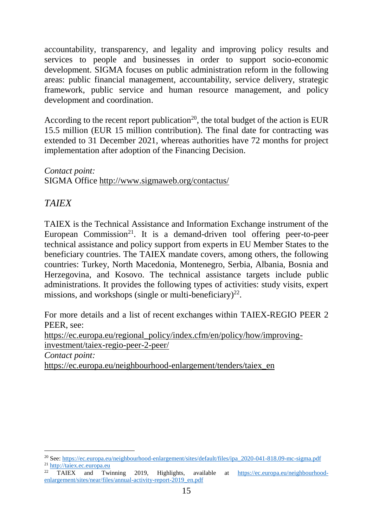accountability, transparency, and legality and improving policy results and services to people and businesses in order to support socio-economic development. SIGMA focuses on public administration reform in the following areas: public financial management, accountability, service delivery, strategic framework, public service and human resource management, and policy development and coordination.

According to the recent report publication<sup>20</sup>, the total budget of the action is EUR 15.5 million (EUR 15 million contribution). The final date for contracting was extended to 31 December 2021, whereas authorities have 72 months for project implementation after adoption of the Financing Decision.

*Contact point:* SIGMA Office<http://www.sigmaweb.org/contactus/>

## *TAIEX*

TAIEX is the Technical Assistance and Information Exchange instrument of the European Commission<sup>21</sup>. It is a demand-driven tool offering peer-to-peer technical assistance and policy support from experts in EU Member States to the beneficiary countries. The TAIEX mandate covers, among others, the following countries: Turkey, North Macedonia, Montenegro, Serbia, Albania, Bosnia and Herzegovina, and Kosovo. The technical assistance targets include public administrations. It provides the following types of activities: study visits, expert missions, and workshops (single or multi-beneficiary) $^{22}$ .

For more details and a list of recent exchanges within TAIEX-REGIO PEER 2 PEER, see:

[https://ec.europa.eu/regional\\_policy/index.cfm/en/policy/how/improving](https://ec.europa.eu/regional_policy/index.cfm/en/policy/how/improving-investment/taiex-regio-peer-2-peer/)[investment/taiex-regio-peer-2-peer/](https://ec.europa.eu/regional_policy/index.cfm/en/policy/how/improving-investment/taiex-regio-peer-2-peer/)

*Contact point:* [https://ec.europa.eu/neighbourhood-enlargement/tenders/taiex\\_en](https://ec.europa.eu/neighbourhood-enlargement/tenders/taiex_en)

<sup>20</sup> See: [https://ec.europa.eu/neighbourhood-enlargement/sites/default/files/ipa\\_2020-041-818.09-mc-sigma.pdf](https://ec.europa.eu/neighbourhood-enlargement/sites/default/files/ipa_2020-041-818.09-mc-sigma.pdf) <sup>21</sup> http://taiex.ec.europa.eu

TAIEX and Twinning 2019, Highlights, available at [https://ec.europa.eu/neighbourhood](https://ec.europa.eu/neighbourhood-enlargement/sites/near/files/annual-activity-report-2019_en.pdf)[enlargement/sites/near/files/annual-activity-report-2019\\_en.pdf](https://ec.europa.eu/neighbourhood-enlargement/sites/near/files/annual-activity-report-2019_en.pdf)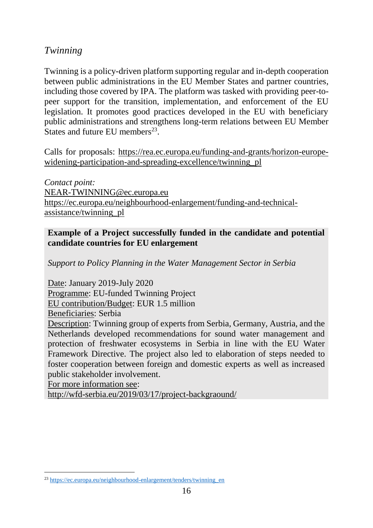## *Twinning*

Twinning is a policy-driven platform supporting regular and in-depth cooperation between public administrations in the EU Member States and partner countries, including those covered by IPA. The platform was tasked with providing peer-topeer support for the transition, implementation, and enforcement of the EU legislation. It promotes good practices developed in the EU with beneficiary public administrations and strengthens long-term relations between EU Member States and future EU members $^{23}$ .

Calls for proposals: [https://rea.ec.europa.eu/funding-and-grants/horizon-europe](https://rea.ec.europa.eu/funding-and-grants/horizon-europe-widening-participation-and-spreading-excellence/twinning_pl)[widening-participation-and-spreading-excellence/twinning\\_pl](https://rea.ec.europa.eu/funding-and-grants/horizon-europe-widening-participation-and-spreading-excellence/twinning_pl)

*Contact point:* [NEAR-TWINNING@ec.europa.eu](mailto:NEAR-TWINNING@ec.europa.eu) [https://ec.europa.eu/neighbourhood-enlargement/funding-and-technical](https://ec.europa.eu/neighbourhood-enlargement/funding-and-technical-assistance/twinning_pl)[assistance/twinning\\_pl](https://ec.europa.eu/neighbourhood-enlargement/funding-and-technical-assistance/twinning_pl)

#### **Example of a Project successfully funded in the candidate and potential candidate countries for EU enlargement**

*Support to Policy Planning in the Water Management Sector in Serbia*

Date: January 2019-July 2020 Programme: EU-funded Twinning Project EU contribution/Budget: EUR 1.5 million Beneficiaries: Serbia Description: Twinning group of experts from Serbia, Germany, Austria, and the Netherlands developed recommendations for sound water management and protection of freshwater ecosystems in Serbia in line with the EU Water Framework Directive. The project also led to elaboration of steps needed to foster cooperation between foreign and domestic experts as well as increased public stakeholder involvement.

For more information see:

-

<span id="page-22-0"></span><http://wfd-serbia.eu/2019/03/17/project-backgraound/>

<sup>&</sup>lt;sup>23</sup> [https://ec.europa.eu/neighbourhood-enlargement/tenders/twinning\\_en](https://ec.europa.eu/neighbourhood-enlargement/tenders/twinning_en)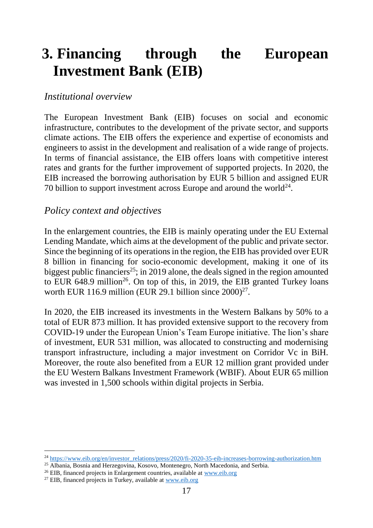## **3. Financing through the European Investment Bank (EIB)**

#### *Institutional overview*

The European Investment Bank (EIB) focuses on social and economic infrastructure, contributes to the development of the private sector, and supports climate actions. The EIB offers the experience and expertise of economists and engineers to assist in the development and realisation of a wide range of projects. In terms of financial assistance, the EIB offers loans with competitive interest rates and grants for the further improvement of supported projects. In 2020, the EIB increased the borrowing authorisation by EUR 5 billion and assigned EUR 70 billion to support investment across Europe and around the world $24$ .

#### *Policy context and objectives*

In the enlargement countries, the EIB is mainly operating under the EU External Lending Mandate, which aims at the development of the public and private sector. Since the beginning of its operations in the region, the EIB has provided over EUR 8 billion in financing for socio-economic development, making it one of its biggest public financiers<sup>25</sup>; in 2019 alone, the deals signed in the region amounted to EUR 648.9 million<sup>26</sup>. On top of this, in 2019, the EIB granted Turkey loans worth EUR 116.9 million (EUR 29.1 billion since  $2000)^{27}$ .

In 2020, the EIB increased its investments in the Western Balkans by 50% to a total of EUR 873 million. It has provided extensive support to the recovery from COVID-19 under the European Union's Team Europe initiative. The lion's share of investment, EUR 531 million, was allocated to constructing and modernising transport infrastructure, including a major investment on Corridor Vc in BiH. Moreover, the route also benefited from a EUR 12 million grant provided under the EU Western Balkans Investment Framework (WBIF). About EUR 65 million was invested in 1,500 schools within digital projects in Serbia.

-

<sup>&</sup>lt;sup>24</sup> [https://www.eib.org/en/investor\\_relations/press/2020/fi-2020-35-eib-increases-borrowing-authorization.htm](https://www.eib.org/en/investor_relations/press/2020/fi-2020-35-eib-increases-borrowing-authorization.htm)

<sup>&</sup>lt;sup>25</sup> Albania, Bosnia and Herzegovina, Kosovo, Montenegro, North Macedonia, and Serbia.

<sup>26</sup> EIB, financed projects in Enlargement countries, available at [www.eib.org](http://www.eib.org/)

 $27$  EIB, financed projects in Turkey, available at [www.eib.org](http://www.eib.org/)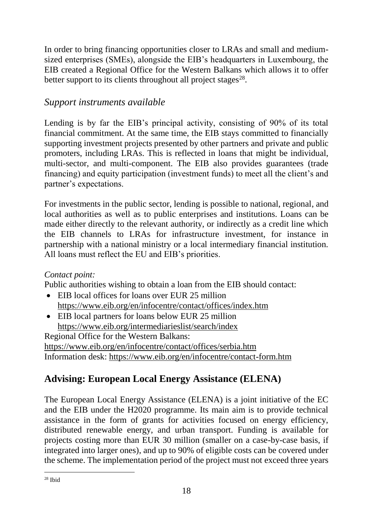In order to bring financing opportunities closer to LRAs and small and mediumsized enterprises (SMEs), alongside the EIB's headquarters in Luxembourg, the EIB created a Regional Office for the Western Balkans which allows it to offer better support to its clients throughout all project stages $^{28}$ .

### *Support instruments available*

Lending is by far the EIB's principal activity, consisting of 90% of its total financial commitment. At the same time, the EIB stays committed to financially supporting investment projects presented by other partners and private and public promoters, including LRAs. This is reflected in loans that might be individual, multi-sector, and multi-component. The EIB also provides guarantees (trade financing) and equity participation (investment funds) to meet all the client's and partner's expectations.

For investments in the public sector, lending is possible to national, regional, and local authorities as well as to public enterprises and institutions. Loans can be made either directly to the relevant authority, or indirectly as a credit line which the EIB channels to LRAs for infrastructure investment, for instance in partnership with a national ministry or a local intermediary financial institution. All loans must reflect the EU and EIB's priorities.

#### *Contact point:*

Public authorities wishing to obtain a loan from the EIB should contact:

- EIB local offices for loans over EUR 25 million <https://www.eib.org/en/infocentre/contact/offices/index.htm>
- EIB local partners for loans below EUR 25 million <https://www.eib.org/intermediarieslist/search/index>

Regional Office for the Western Balkans: <https://www.eib.org/en/infocentre/contact/offices/serbia.htm> Information desk:<https://www.eib.org/en/infocentre/contact-form.htm>

## **Advising: European Local Energy Assistance (ELENA)**

The European Local Energy Assistance (ELENA) is a joint initiative of the EC and the EIB under the H2020 programme. Its main aim is to provide technical assistance in the form of grants for activities focused on energy efficiency, distributed renewable energy, and urban transport. Funding is available for projects costing more than EUR 30 million (smaller on a case-by-case basis, if integrated into larger ones), and up to 90% of eligible costs can be covered under the scheme. The implementation period of the project must not exceed three years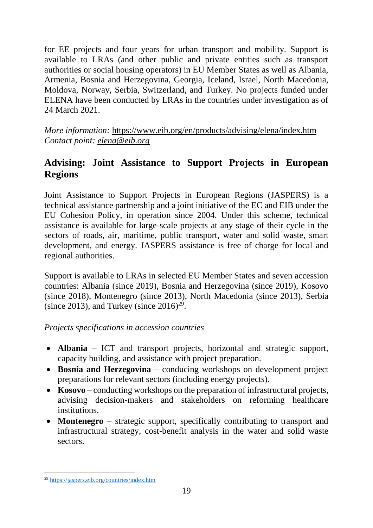for EE projects and four years for urban transport and mobility. Support is available to LRAs (and other public and private entities such as transport authorities or social housing operators) in EU Member States as well as Albania, Armenia, Bosnia and Herzegovina, Georgia, Iceland, Israel, North Macedonia, Moldova, Norway, Serbia, Switzerland, and Turkey. No projects funded under ELENA have been conducted by LRAs in the countries under investigation as of 24 March 2021.

*More information:* <https://www.eib.org/en/products/advising/elena/index.htm> *Contact point: [elena@eib.org](mailto:elena@eib.org)*

## **Advising: Joint Assistance to Support Projects in European Regions**

Joint Assistance to Support Projects in European Regions (JASPERS) is a technical assistance partnership and a joint initiative of the EC and EIB under the EU Cohesion Policy, in operation since 2004. Under this scheme, technical assistance is available for large-scale projects at any stage of their cycle in the sectors of roads, air, maritime, public transport, water and solid waste, smart development, and energy. JASPERS assistance is free of charge for local and regional authorities.

Support is available to LRAs in selected EU Member States and seven accession countries: Albania (since 2019), Bosnia and Herzegovina (since 2019), Kosovo (since 2018), Montenegro (since 2013), North Macedonia (since 2013), Serbia (since 2013), and Turkey (since  $2016)^{29}$ .

*Projects specifications in accession countries*

- **Albania**  ICT and transport projects, horizontal and strategic support, capacity building, and assistance with project preparation.
- **Bosnia and Herzegovina** conducing workshops on development project preparations for relevant sectors (including energy projects).
- **Kosovo** conducting workshops on the preparation of infrastructural projects, advising decision-makers and stakeholders on reforming healthcare institutions.
- **Montenegro**  strategic support, specifically contributing to transport and infrastructural strategy, cost-benefit analysis in the water and solid waste sectors.

-

<sup>29</sup> https://jaspers.eib.org/countries/index.htm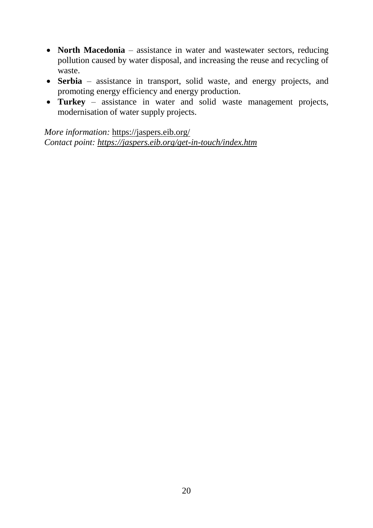- **North Macedonia**  assistance in water and wastewater sectors, reducing pollution caused by water disposal, and increasing the reuse and recycling of waste.
- **Serbia**  assistance in transport, solid waste, and energy projects, and promoting energy efficiency and energy production.
- **Turkey** assistance in water and solid waste management projects, modernisation of water supply projects.

*More information:* <https://jaspers.eib.org/> *Contact point: <https://jaspers.eib.org/get-in-touch/index.htm>*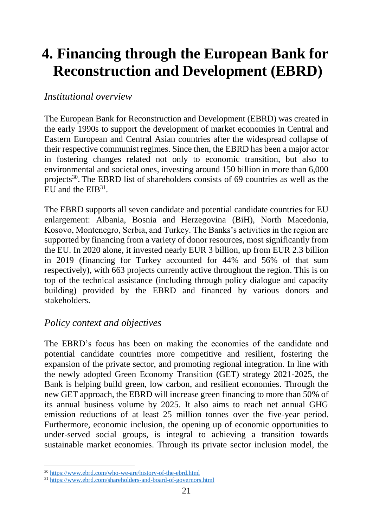# <span id="page-27-0"></span>**4. Financing through the European Bank for Reconstruction and Development (EBRD)**

#### *Institutional overview*

The European Bank for Reconstruction and Development (EBRD) was created in the early 1990s to support the development of market economies in Central and Eastern European and Central Asian countries after the widespread collapse of their respective communist regimes. Since then, the EBRD has been a major actor in fostering changes related not only to economic transition, but also to environmental and societal ones, investing around 150 billion in more than 6,000 projects<sup>30</sup>. The EBRD list of shareholders consists of 69 countries as well as the EU and the  $EIB<sup>31</sup>$ .

The EBRD supports all seven candidate and potential candidate countries for EU enlargement: Albania, Bosnia and Herzegovina (BiH), North Macedonia, Kosovo, Montenegro, Serbia, and Turkey. The Banks's activities in the region are supported by financing from a variety of donor resources, most significantly from the EU. In 2020 alone, it invested nearly EUR 3 billion, up from EUR 2.3 billion in 2019 (financing for Turkey accounted for 44% and 56% of that sum respectively), with 663 projects currently active throughout the region. This is on top of the technical assistance (including through policy dialogue and capacity building) provided by the EBRD and financed by various donors and stakeholders.

#### *Policy context and objectives*

The EBRD's focus has been on making the economies of the candidate and potential candidate countries more competitive and resilient, fostering the expansion of the private sector, and promoting regional integration. In line with the newly adopted Green Economy Transition (GET) strategy 2021-2025, the Bank is helping build green, low carbon, and resilient economies. Through the new GET approach, the EBRD will increase green financing to more than 50% of its annual business volume by 2025. It also aims to reach net annual GHG emission reductions of at least 25 million tonnes over the five-year period. Furthermore, economic inclusion, the opening up of economic opportunities to under-served social groups, is integral to achieving a transition towards sustainable market economies. Through its private sector inclusion model, the

 $\overline{a}$ 

<sup>30</sup> <https://www.ebrd.com/who-we-are/history-of-the-ebrd.html>

<sup>&</sup>lt;sup>31</sup> <https://www.ebrd.com/shareholders-and-board-of-governors.html>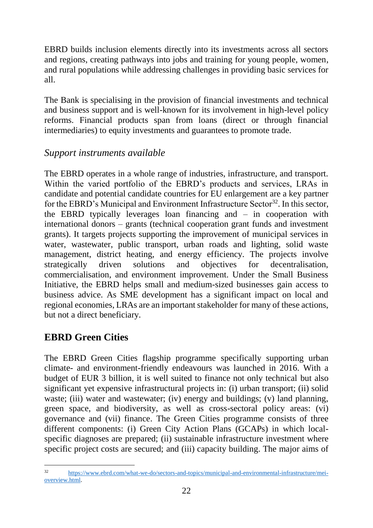EBRD builds inclusion elements directly into its investments across all sectors and regions, creating pathways into jobs and training for young people, women, and rural populations while addressing challenges in providing basic services for all.

The Bank is specialising in the provision of financial investments and technical and business support and is well-known for its involvement in high-level policy reforms. Financial products span from loans (direct or through financial intermediaries) to equity investments and guarantees to promote trade.

## *Support instruments available*

The EBRD operates in a whole range of industries, infrastructure, and transport. Within the varied portfolio of the EBRD's products and services, LRAs in candidate and potential candidate countries for EU enlargement are a key partner for the EBRD's Municipal and Environment Infrastructure Sector<sup>32</sup>. In this sector, the EBRD typically leverages loan financing and – in cooperation with international donors – grants (technical cooperation grant funds and investment grants). It targets projects supporting the improvement of municipal services in water, wastewater, public transport, urban roads and lighting, solid waste management, district heating, and energy efficiency. The projects involve strategically driven solutions and objectives for decentralisation, commercialisation, and environment improvement. Under the Small Business Initiative, the EBRD helps small and medium-sized businesses gain access to business advice. As SME development has a significant impact on local and regional economies, LRAs are an important stakeholder for many of these actions, but not a direct beneficiary.

## **EBRD Green Cities**

The EBRD Green Cities flagship programme specifically supporting urban climate- and environment-friendly endeavours was launched in 2016. With a budget of EUR 3 billion, it is well suited to finance not only technical but also significant yet expensive infrastructural projects in: (i) urban transport; (ii) solid waste; (iii) water and wastewater; (iv) energy and buildings; (v) land planning, green space, and biodiversity, as well as cross-sectoral policy areas: (vi) governance and (vii) finance. The Green Cities programme consists of three different components: (i) Green City Action Plans (GCAPs) in which localspecific diagnoses are prepared; (ii) sustainable infrastructure investment where specific project costs are secured; and (iii) capacity building. The major aims of

 $32$ [https://www.ebrd.com/what-we-do/sectors-and-topics/municipal-and-environmental-infrastructure/mei](https://www.ebrd.com/what-we-do/sectors-and-topics/municipal-and-environmental-infrastructure/mei-overview.html)[overview.html.](https://www.ebrd.com/what-we-do/sectors-and-topics/municipal-and-environmental-infrastructure/mei-overview.html)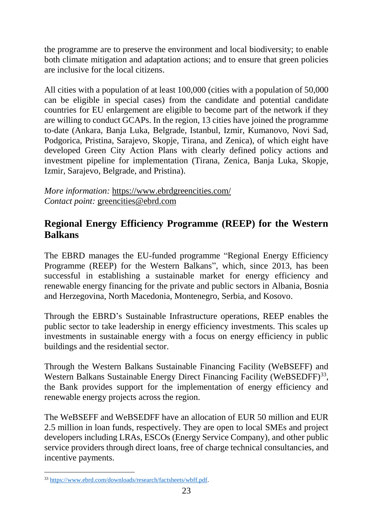the programme are to preserve the environment and local biodiversity; to enable both climate mitigation and adaptation actions; and to ensure that green policies are inclusive for the local citizens.

All cities with a population of at least 100,000 (cities with a population of 50,000 can be eligible in special cases) from the candidate and potential candidate countries for EU enlargement are eligible to become part of the network if they are willing to conduct GCAPs. In the region, 13 cities have joined the programme to-date (Ankara, Banja Luka, Belgrade, Istanbul, Izmir, Kumanovo, Novi Sad, Podgorica, Pristina, Sarajevo, Skopje, Tirana, and Zenica), of which eight have developed Green City Action Plans with clearly defined policy actions and investment pipeline for implementation (Tirana, Zenica, Banja Luka, Skopje, Izmir, Sarajevo, Belgrade, and Pristina).

*More information:* <https://www.ebrdgreencities.com/> *Contact point:* [greencities@ebrd.com](mailto:greencities@ebrd.com)

## **Regional Energy Efficiency Programme (REEP) for the Western Balkans**

The EBRD manages the EU-funded programme "Regional Energy Efficiency Programme (REEP) for the Western Balkans", which, since 2013, has been successful in establishing a sustainable market for energy efficiency and renewable energy financing for the private and public sectors in Albania, Bosnia and Herzegovina, North Macedonia, Montenegro, Serbia, and Kosovo.

Through the EBRD's Sustainable Infrastructure operations, REEP enables the public sector to take leadership in energy efficiency investments. This scales up investments in sustainable energy with a focus on energy efficiency in public buildings and the residential sector.

Through the Western Balkans Sustainable Financing Facility (WeBSEFF) and Western Balkans Sustainable Energy Direct Financing Facility (WeBSEDFF)<sup>33</sup>, the Bank provides support for the implementation of energy efficiency and renewable energy projects across the region.

The WeBSEFF and WeBSEDFF have an allocation of EUR 50 million and EUR 2.5 million in loan funds, respectively. They are open to local SMEs and project developers including LRAs, ESCOs (Energy Service Company), and other public service providers through direct loans, free of charge technical consultancies, and incentive payments.

<sup>33</sup> [https://www.ebrd.com/downloads/research/factsheets/wbff.pdf.](https://www.ebrd.com/downloads/research/factsheets/wbff.pdf)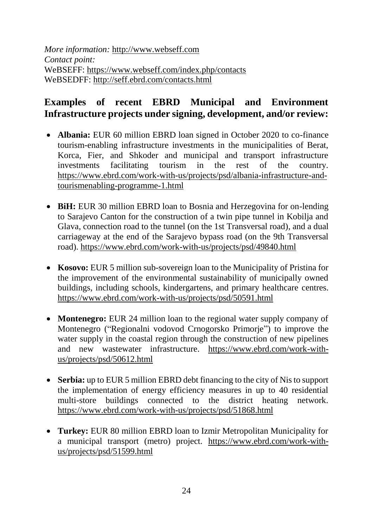*More information:* [http://www.webseff.com](http://www.webseff.com/) *Contact point:* WeBSEFF:<https://www.webseff.com/index.php/contacts> WeBSEDFF: <http://seff.ebrd.com/contacts.html>

## **Examples of recent EBRD Municipal and Environment Infrastructure projects under signing, development, and/or review:**

- **Albania:** EUR 60 million EBRD loan signed in October 2020 to co-finance tourism-enabling infrastructure investments in the municipalities of Berat, Korca, Fier, and Shkoder and municipal and transport infrastructure investments facilitating tourism in the rest of the country. [https://www.ebrd.com/work-with-us/projects/psd/albania-infrastructure-and](https://www.ebrd.com/work-with-us/projects/psd/albania-infrastructure-and-tourismenabling-programme-1.html)[tourismenabling-programme-1.html](https://www.ebrd.com/work-with-us/projects/psd/albania-infrastructure-and-tourismenabling-programme-1.html)
- **BiH:** EUR 30 million EBRD loan to Bosnia and Herzegovina for on-lending to Sarajevo Canton for the construction of a twin pipe tunnel in Kobilja and Glava, connection road to the tunnel (on the 1st Transversal road), and a dual carriageway at the end of the Sarajevo bypass road (on the 9th Transversal road).<https://www.ebrd.com/work-with-us/projects/psd/49840.html>
- **Kosovo:** EUR 5 million sub-sovereign loan to the Municipality of Pristina for the improvement of the environmental sustainability of municipally owned buildings, including schools, kindergartens, and primary healthcare centres. <https://www.ebrd.com/work-with-us/projects/psd/50591.html>
- **Montenegro:** EUR 24 million loan to the regional water supply company of Montenegro ("Regionalni vodovod Crnogorsko Primorje") to improve the water supply in the coastal region through the construction of new pipelines and new wastewater infrastructure. [https://www.ebrd.com/work-with](https://www.ebrd.com/work-with-us/projects/psd/50612.html)[us/projects/psd/50612.html](https://www.ebrd.com/work-with-us/projects/psd/50612.html)
- **Serbia:** up to EUR 5 million EBRD debt financing to the city of Nis to support the implementation of energy efficiency measures in up to 40 residential multi-store buildings connected to the district heating network. <https://www.ebrd.com/work-with-us/projects/psd/51868.html>
- **Turkey:** EUR 80 million EBRD loan to Izmir Metropolitan Municipality for a municipal transport (metro) project. [https://www.ebrd.com/work-with](https://www.ebrd.com/work-with-us/projects/psd/51599.html)[us/projects/psd/51599.html](https://www.ebrd.com/work-with-us/projects/psd/51599.html)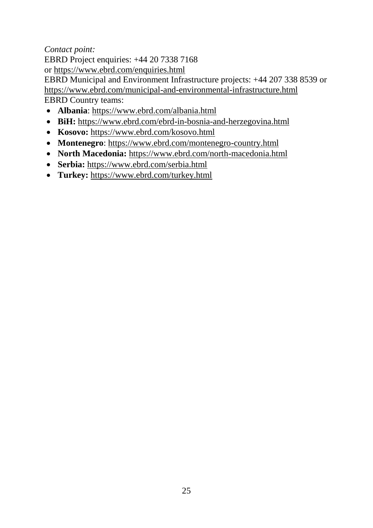#### *Contact point:*

EBRD Project enquiries: +44 20 7338 7168 or <https://www.ebrd.com/enquiries.html>

EBRD Municipal and Environment Infrastructure projects: +44 207 338 8539 or <https://www.ebrd.com/municipal-and-environmental-infrastructure.html> EBRD Country teams:

- **Albania**:<https://www.ebrd.com/albania.html>
- **BiH:** <https://www.ebrd.com/ebrd-in-bosnia-and-herzegovina.html>
- **Kosovo:** <https://www.ebrd.com/kosovo.html>
- **Montenegro**:<https://www.ebrd.com/montenegro-country.html>
- **North Macedonia:** <https://www.ebrd.com/north-macedonia.html>
- **Serbia:** <https://www.ebrd.com/serbia.html>
- **Turkey:** <https://www.ebrd.com/turkey.html>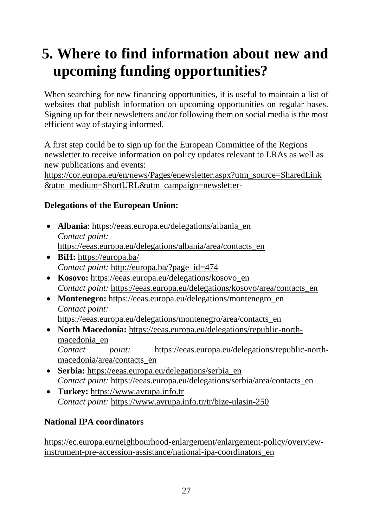# <span id="page-33-0"></span>**5. Where to find information about new and upcoming funding opportunities?**

When searching for new financing opportunities, it is useful to maintain a list of websites that publish information on upcoming opportunities on regular bases. Signing up for their newsletters and/or following them on social media is the most efficient way of staying informed.

A first step could be to sign up for the European Committee of the Regions newsletter to receive information on policy updates relevant to LRAs as well as new publications and events:

[https://cor.europa.eu/en/news/Pages/enewsletter.aspx?utm\\_source=SharedLink](https://cor.europa.eu/en/news/Pages/enewsletter.aspx?utm_source=SharedLink&utm_medium=ShortURL&utm_campaign=newsletter-) [&utm\\_medium=ShortURL&utm\\_campaign=newsletter-](https://cor.europa.eu/en/news/Pages/enewsletter.aspx?utm_source=SharedLink&utm_medium=ShortURL&utm_campaign=newsletter-)

#### **Delegations of the European Union:**

- **Albania**: [https://eeas.europa.eu/delegations/albania\\_en](https://eeas.europa.eu/delegations/albania_en) *Contact point:* [https://eeas.europa.eu/delegations/albania/area/contacts\\_en](https://eeas.europa.eu/delegations/albania/area/contacts_en)
- **BiH:** <https://europa.ba/> *Contact point:* [http://europa.ba/?page\\_id=474](http://europa.ba/?page_id=474)
- Kosovo: [https://eeas.europa.eu/delegations/kosovo\\_en](https://eeas.europa.eu/delegations/kosovo_en) *Contact point:* [https://eeas.europa.eu/delegations/kosovo/area/contacts\\_en](https://eeas.europa.eu/delegations/kosovo/area/contacts_en)
- **Montenegro:** [https://eeas.europa.eu/delegations/montenegro\\_en](https://eeas.europa.eu/delegations/montenegro_en) *Contact point:* [https://eeas.europa.eu/delegations/montenegro/area/contacts\\_en](https://eeas.europa.eu/delegations/montenegro/area/contacts_en)
- **North Macedonia:** [https://eeas.europa.eu/delegations/republic-north](https://eeas.europa.eu/delegations/republic-north-macedonia_en)[macedonia\\_en](https://eeas.europa.eu/delegations/republic-north-macedonia_en) *Contact point:* [https://eeas.europa.eu/delegations/republic-north](https://eeas.europa.eu/delegations/republic-north-macedonia/area/contacts_en)[macedonia/area/contacts\\_en](https://eeas.europa.eu/delegations/republic-north-macedonia/area/contacts_en)
- **Serbia:** [https://eeas.europa.eu/delegations/serbia\\_en](https://eeas.europa.eu/delegations/serbia_en) *Contact point:* [https://eeas.europa.eu/delegations/serbia/area/contacts\\_en](https://eeas.europa.eu/delegations/serbia/area/contacts_en)
- **Turkey:** [https://www.avrupa.info.tr](https://www.avrupa.info.tr/) *Contact point:* <https://www.avrupa.info.tr/tr/bize-ulasin-250>

#### **National IPA coordinators**

[https://ec.europa.eu/neighbourhood-enlargement/enlargement-policy/overview](https://ec.europa.eu/neighbourhood-enlargement/enlargement-policy/overview-instrument-pre-accession-assistance/national-ipa-coordinators_en)[instrument-pre-accession-assistance/national-ipa-coordinators\\_en](https://ec.europa.eu/neighbourhood-enlargement/enlargement-policy/overview-instrument-pre-accession-assistance/national-ipa-coordinators_en)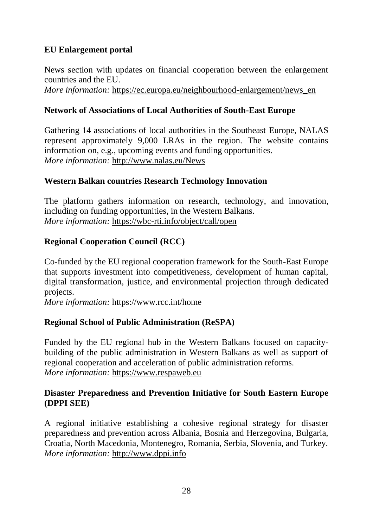#### **EU Enlargement portal**

News section with updates on financial cooperation between the enlargement countries and the EU.

*More information:* https://ec.europa.eu/neighbourhood-enlargement/news en

#### **Network of Associations of Local Authorities of South-East Europe**

Gathering 14 associations of local authorities in the Southeast Europe, NALAS represent approximately 9,000 LRAs in the region. The website contains information on, e.g., upcoming events and funding opportunities. *More information:* <http://www.nalas.eu/News>

#### **Western Balkan countries Research Technology Innovation**

The platform gathers information on research, technology, and innovation, including on funding opportunities, in the Western Balkans. *More information:* <https://wbc-rti.info/object/call/open>

#### **Regional Cooperation Council (RCC)**

Co-funded by the EU regional cooperation framework for the South-East Europe that supports investment into competitiveness, development of human capital, digital transformation, justice, and environmental projection through dedicated projects.

*More information:* <https://www.rcc.int/home>

#### **Regional School of Public Administration (ReSPA)**

Funded by the EU regional hub in the Western Balkans focused on capacitybuilding of the public administration in Western Balkans as well as support of regional cooperation and acceleration of public administration reforms. *More information:* [https://www.respaweb.eu](https://www.respaweb.eu/)

#### **Disaster Preparedness and Prevention Initiative for South Eastern Europe (DPPI SEE)**

A regional initiative establishing a cohesive regional strategy for disaster preparedness and prevention across Albania, Bosnia and Herzegovina, Bulgaria, Croatia, North Macedonia, Montenegro, Romania, Serbia, Slovenia, and Turkey. *More information:* [http://www.dppi.info](http://www.dppi.info/)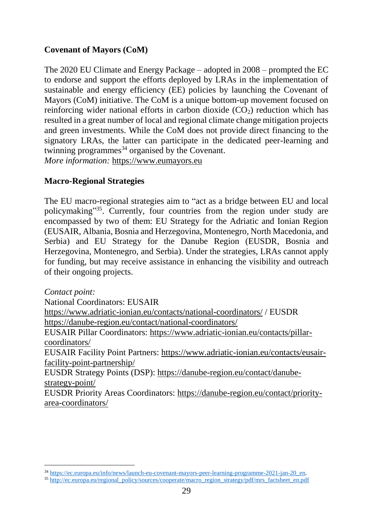#### **Covenant of Mayors (CoM)**

The 2020 EU Climate and Energy Package – adopted in 2008 – prompted the EC to endorse and support the efforts deployed by LRAs in the implementation of sustainable and energy efficiency (EE) policies by launching the Covenant of Mayors (CoM) initiative. The CoM is a unique bottom-up movement focused on reinforcing wider national efforts in carbon dioxide  $(CO<sub>2</sub>)$  reduction which has resulted in a great number of local and regional climate change mitigation projects and green investments. While the CoM does not provide direct financing to the signatory LRAs, the latter can participate in the dedicated peer-learning and twinning programmes<sup>34</sup> organised by the Covenant. *More information:* [https://www.eumayors.eu](https://www.eumayors.eu/)

#### **Macro-Regional Strategies**

 $\overline{a}$ 

The EU macro-regional strategies aim to "act as a bridge between EU and local policymaking"<sup>35</sup>. Currently, four countries from the region under study are encompassed by two of them: EU Strategy for the Adriatic and Ionian Region (EUSAIR, Albania, Bosnia and Herzegovina, Montenegro, North Macedonia, and Serbia) and EU Strategy for the Danube Region (EUSDR, Bosnia and Herzegovina, Montenegro, and Serbia). Under the strategies, LRAs cannot apply for funding, but may receive assistance in enhancing the visibility and outreach of their ongoing projects.

*Contact point:* National Coordinators: EUSAIR <https://www.adriatic-ionian.eu/contacts/national-coordinators/> / EUSDR <https://danube-region.eu/contact/national-coordinators/> EUSAIR Pillar Coordinators: [https://www.adriatic-ionian.eu/contacts/pillar](https://www.adriatic-ionian.eu/contacts/pillar-coordinators/)[coordinators/](https://www.adriatic-ionian.eu/contacts/pillar-coordinators/) EUSAIR Facility Point Partners: [https://www.adriatic-ionian.eu/contacts/eusair](https://www.adriatic-ionian.eu/contacts/eusair-facility-point-partnership/)[facility-point-partnership/](https://www.adriatic-ionian.eu/contacts/eusair-facility-point-partnership/) EUSDR Strategy Points (DSP): [https://danube-region.eu/contact/danube](https://danube-region.eu/contact/danube-strategy-point/)[strategy-point/](https://danube-region.eu/contact/danube-strategy-point/) EUSDR Priority Areas Coordinators: [https://danube-region.eu/contact/priority](https://danube-region.eu/contact/priority-area-coordinators/)[area-coordinators/](https://danube-region.eu/contact/priority-area-coordinators/)

<sup>34</sup> [https://ec.europa.eu/info/news/launch-eu-covenant-mayors-peer-learning-programme-2021-jan-20\\_en.](https://ec.europa.eu/info/news/launch-eu-covenant-mayors-peer-learning-programme-2021-jan-20_en)

<sup>&</sup>lt;sup>35</sup> [http://ec.europa.eu/regional\\_policy/sources/cooperate/macro\\_region\\_strategy/pdf/mrs\\_factsheet\\_en.pdf](http://ec.europa.eu/regional_policy/sources/cooperate/macro_region_strategy/pdf/mrs_factsheet_en.pdf)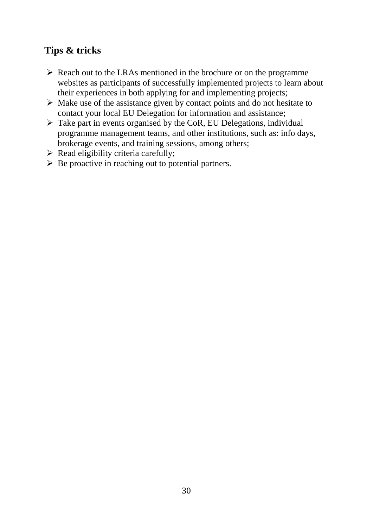## **Tips & tricks**

- $\triangleright$  Reach out to the LRAs mentioned in the brochure or on the programme websites as participants of successfully implemented projects to learn about their experiences in both applying for and implementing projects;
- $\triangleright$  Make use of the assistance given by contact points and do not hesitate to contact your local EU Delegation for information and assistance;
- $\triangleright$  Take part in events organised by the CoR, EU Delegations, individual programme management teams, and other institutions, such as: info days, brokerage events, and training sessions, among others;
- $\triangleright$  Read eligibility criteria carefully;
- $\triangleright$  Be proactive in reaching out to potential partners.